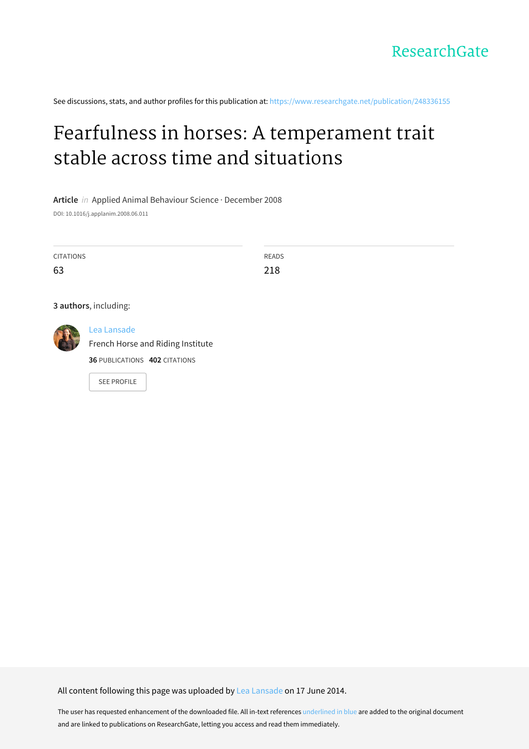

See discussions, stats, and author profiles for this publication at: [https://www.researchgate.net/publication/248336155](https://www.researchgate.net/publication/248336155_Fearfulness_in_horses_A_temperament_trait_stable_across_time_and_situations?enrichId=rgreq-20281ad60fe2513228f678147f077b69-XXX&enrichSource=Y292ZXJQYWdlOzI0ODMzNjE1NTtBUzoxMTQ5NTM0NDA3MzExMzZAMTQwNDQxODQ0NDU4NQ%3D%3D&el=1_x_2&_esc=publicationCoverPdf)

# Fearfulness in horses: A [temperament](https://www.researchgate.net/publication/248336155_Fearfulness_in_horses_A_temperament_trait_stable_across_time_and_situations?enrichId=rgreq-20281ad60fe2513228f678147f077b69-XXX&enrichSource=Y292ZXJQYWdlOzI0ODMzNjE1NTtBUzoxMTQ5NTM0NDA3MzExMzZAMTQwNDQxODQ0NDU4NQ%3D%3D&el=1_x_3&_esc=publicationCoverPdf) trait stable across time and situations

**Article** in Applied Animal Behaviour Science · December 2008

DOI: 10.1016/j.applanim.2008.06.011

| CITATIONS | READS |
|-----------|-------|
| 63        | 218   |
|           |       |

# **3 authors**, including:



Lea [Lansade](https://www.researchgate.net/profile/Lea_Lansade?enrichId=rgreq-20281ad60fe2513228f678147f077b69-XXX&enrichSource=Y292ZXJQYWdlOzI0ODMzNjE1NTtBUzoxMTQ5NTM0NDA3MzExMzZAMTQwNDQxODQ0NDU4NQ%3D%3D&el=1_x_5&_esc=publicationCoverPdf)

French Horse and Riding Institute

**36** PUBLICATIONS **402** CITATIONS

SEE [PROFILE](https://www.researchgate.net/profile/Lea_Lansade?enrichId=rgreq-20281ad60fe2513228f678147f077b69-XXX&enrichSource=Y292ZXJQYWdlOzI0ODMzNjE1NTtBUzoxMTQ5NTM0NDA3MzExMzZAMTQwNDQxODQ0NDU4NQ%3D%3D&el=1_x_7&_esc=publicationCoverPdf)

All content following this page was uploaded by Lea [Lansade](https://www.researchgate.net/profile/Lea_Lansade?enrichId=rgreq-20281ad60fe2513228f678147f077b69-XXX&enrichSource=Y292ZXJQYWdlOzI0ODMzNjE1NTtBUzoxMTQ5NTM0NDA3MzExMzZAMTQwNDQxODQ0NDU4NQ%3D%3D&el=1_x_10&_esc=publicationCoverPdf) on 17 June 2014.

The user has requested enhancement of the downloaded file. All in-text references underlined in blue are added to the original document and are linked to publications on ResearchGate, letting you access and read them immediately.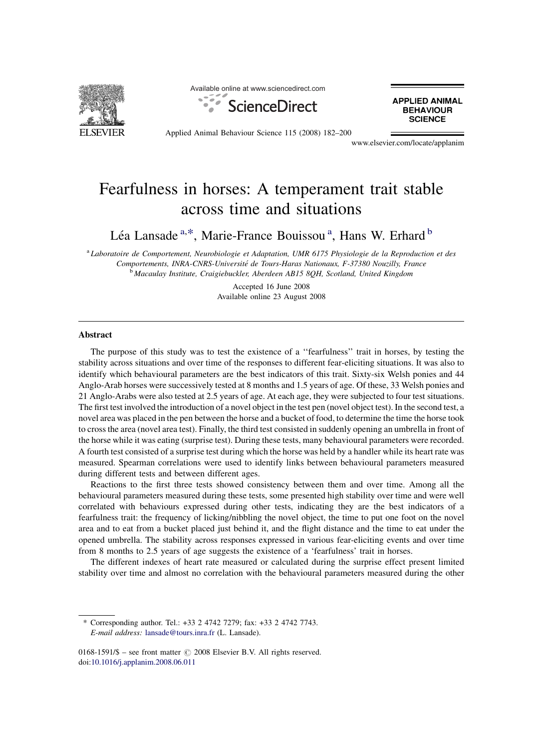

Available online at www.sciencedirect.com



Applied Animal Behaviour Science 115 (2008) 182–200

**APPLIED ANIMAL BEHAVIOUR SCIENCE** 

www.elsevier.com/locate/applanim

# Fearfulness in horses: A temperament trait stable across time and situations

Léa Lansade <sup>a,\*</sup>, Marie-France Bouissou<sup>a</sup>, Hans W. Erhard <sup>b</sup>

<sup>a</sup> Laboratoire de Comportement, Neurobiologie et Adaptation, UMR 6175 Physiologie de la Reproduction et des Comportements, INRA-CNRS-Université de Tours-Haras Nationaux, F-37380 Nouzilly, France <sup>b</sup> Macaulay Institute, Craigiebuckler, Aberdeen AB15 8QH, Scotland, United Kingdom

> Accepted 16 June 2008 Available online 23 August 2008

### Abstract

The purpose of this study was to test the existence of a ''fearfulness'' trait in horses, by testing the stability across situations and over time of the responses to different fear-eliciting situations. It was also to identify which behavioural parameters are the best indicators of this trait. Sixty-six Welsh ponies and 44 Anglo-Arab horses were successively tested at 8 months and 1.5 years of age. Of these, 33 Welsh ponies and 21 Anglo-Arabs were also tested at 2.5 years of age. At each age, they were subjected to four test situations. The first test involved the introduction of a novel object in the test pen (novel object test). In the second test, a novel area was placed in the pen between the horse and a bucket of food, to determine the time the horse took to cross the area (novel area test). Finally, the third test consisted in suddenly opening an umbrella in front of the horse while it was eating (surprise test). During these tests, many behavioural parameters were recorded. A fourth test consisted of a surprise test during which the horse was held by a handler while its heart rate was measured. Spearman correlations were used to identify links between behavioural parameters measured during different tests and between different ages.

Reactions to the first three tests showed consistency between them and over time. Among all the behavioural parameters measured during these tests, some presented high stability over time and were well correlated with behaviours expressed during other tests, indicating they are the best indicators of a fearfulness trait: the frequency of licking/nibbling the novel object, the time to put one foot on the novel area and to eat from a bucket placed just behind it, and the flight distance and the time to eat under the opened umbrella. The stability across responses expressed in various fear-eliciting events and over time from 8 months to 2.5 years of age suggests the existence of a 'fearfulness' trait in horses.

The different indexes of heart rate measured or calculated during the surprise effect present limited stability over time and almost no correlation with the behavioural parameters measured during the other

\* Corresponding author. Tel.: +33 2 4742 7279; fax: +33 2 4742 7743. E-mail address: [lansade@tours.inra.fr](mailto:lansade@tours.inra.fr) (L. Lansade).

0168-1591/\$ – see front matter  $\odot$  2008 Elsevier B.V. All rights reserved. doi[:10.1016/j.applanim.2008.06.011](http://dx.doi.org/10.1016/j.applanim.2008.06.011)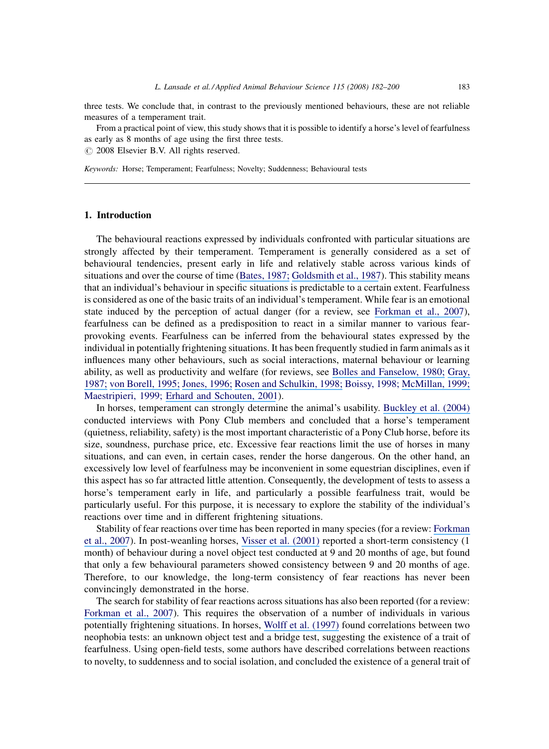three tests. We conclude that, in contrast to the previously mentioned behaviours, these are not reliable measures of a temperament trait.

From a practical point of view, this study shows that it is possible to identify a horse's level of fearfulness as early as 8 months of age using the first three tests.

 $\odot$  2008 Elsevier B.V. All rights reserved.

Keywords: Horse; Temperament; Fearfulness; Novelty; Suddenness; Behavioural tests

# 1. Introduction

The behavioural reactions expressed by individuals confronted with particular situations are strongly affected by their temperament. Temperament is generally considered as a set of behavioural tendencies, present early in life and relatively stable across various kinds of situations and over the course of time ([Bates, 1987; Goldsmith et al., 1987\)](#page-17-0). This stability means that an individual's behaviour in specific situations is predictable to a certain extent. Fearfulness is considered as one of the basic traits of an individual's temperament. While fear is an emotional state induced by the perception of actual danger (for a review, see [Forkman et al., 2007](#page-18-0)), fearfulness can be defined as a predisposition to react in a similar manner to various fearprovoking events. Fearfulness can be inferred from the behavioural states expressed by the individual in potentially frightening situations. It has been frequently studied in farm animals as it influences many other behaviours, such as social interactions, maternal behaviour or learning ability, as well as productivity and welfare (for reviews, see [Bolles and Fanselow, 1980; Gray,](#page-17-0) [1987; von Borell, 1995; Jones, 1996; Rosen and Schulkin, 1998; Boissy, 1998; McMillan, 1999;](#page-17-0) [Maestripieri, 1999; Erhard and Schouten, 2001\)](#page-17-0).

In horses, temperament can strongly determine the animal's usability. [Buckley et al. \(2004\)](#page-17-0) conducted interviews with Pony Club members and concluded that a horse's temperament (quietness, reliability, safety) is the most important characteristic of a Pony Club horse, before its size, soundness, purchase price, etc. Excessive fear reactions limit the use of horses in many situations, and can even, in certain cases, render the horse dangerous. On the other hand, an excessively low level of fearfulness may be inconvenient in some equestrian disciplines, even if this aspect has so far attracted little attention. Consequently, the development of tests to assess a horse's temperament early in life, and particularly a possible fearfulness trait, would be particularly useful. For this purpose, it is necessary to explore the stability of the individual's reactions over time and in different frightening situations.

Stability of fear reactions over time has been reported in many species (for a review: [Forkman](#page-18-0) [et al., 2007](#page-18-0)). In post-weanling horses, [Visser et al. \(2001\)](#page-19-0) reported a short-term consistency (1 month) of behaviour during a novel object test conducted at 9 and 20 months of age, but found that only a few behavioural parameters showed consistency between 9 and 20 months of age. Therefore, to our knowledge, the long-term consistency of fear reactions has never been convincingly demonstrated in the horse.

The search for stability of fear reactions across situations has also been reported (for a review: [Forkman et al., 2007\)](#page-18-0). This requires the observation of a number of individuals in various potentially frightening situations. In horses, [Wolff et al. \(1997\)](#page-19-0) found correlations between two neophobia tests: an unknown object test and a bridge test, suggesting the existence of a trait of fearfulness. Using open-field tests, some authors have described correlations between reactions to novelty, to suddenness and to social isolation, and concluded the existence of a general trait of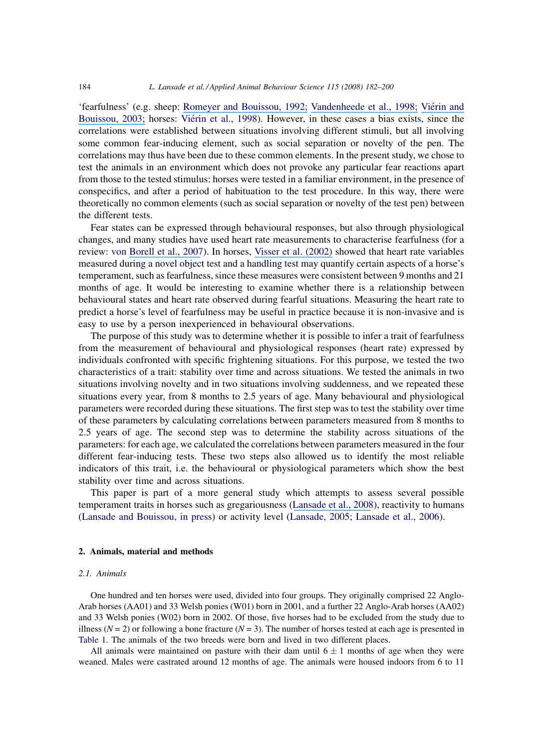'fearfulness' (e.g. sheep: Romeyer and Bouissou, 1992; Vandenheede et al., 1998; Viérin and [Bouissou, 2003](#page-18-0)[;](https://www.researchgate.net/publication/10928537_Responses_of_weaned_lambs_to_fear-eliciting_situations_Origin_of_individual_differences?el=1_x_8&enrichId=rgreq-20281ad60fe2513228f678147f077b69-XXX&enrichSource=Y292ZXJQYWdlOzI0ODMzNjE1NTtBUzoxMTQ5NTM0NDA3MzExMzZAMTQwNDQxODQ0NDU4NQ==) horses: Viérin et al., 1998). However, in these cases a bias exists, since the correlations were established between situations involving different stimuli, but all involving some common fear-inducing element, such as social separation or novelty of the pen. The correlations may thus have been due to these common elements. In the present study, we chose to test the animals in an environment which does not provoke any particular fear reactions apart from those to the tested stimulus: horses were tested in a familiar environment, in the presence of conspecifics, and after a period of habituation to the test procedure. In this way, there were theoretically no common elements (such as social separation or novelty of the test pen) between the different tests.

Fear states can be expressed through behavioural responses, but also through physiological changes, and many studies have used heart rate measurements to characterise fearfulness (for a review: [von Borell et al., 2007\)](#page-19-0). In horses, [Visser et al. \(2002\)](#page-19-0) showed that heart rate variables measured during a novel object test and a handling test may quantify certain aspects of a horse's temperament, such as fearfulness, since these measures were consistent between 9 months and 21 months of age. It would be interesting to examine whether there is a relationship between behavioural states and heart rate observed during fearful situations. Measuring the heart rate to predict a horse's level of fearfulness may be useful in practice because it is non-invasive and is easy to use by a person inexperienced in behavioural observations.

The purpose of this study was to determine whether it is possible to infer a trait of fearfulness from the measurement of behavioural and physiological responses (heart rate) expressed by individuals confronted with specific frightening situations. For this purpose, we tested the two characteristics of a trait: stability over time and across situations. We tested the animals in two situations involving novelty and in two situations involving suddenness, and we repeated these situations every year, from 8 months to 2.5 years of age. Many behavioural and physiological parameters were recorded during these situations. The first step was to test the stability over time of these parameters by calculating correlations between parameters measured from 8 months to 2.5 years of age. The second step was to determine the stability across situations of the parameters: for each age, we calculated the correlations between parameters measured in the four different fear-inducing tests. These two steps also allowed us to identify the most reliable indicators of this trait, i.e. the behavioural or physiological parameters which show the best stability over time and across situations.

This paper is part of a more general study which attempts to assess several possible temperament traits in horses such as gregariousness [\(Lansade et al., 2008\)](#page-18-0), reactivity to humans [\(Lansade and Bouissou, in press](#page-18-0)) or activity level ([Lansade, 2005; Lansade et al., 2006\)](#page-18-0).

#### 2. Animals, material and methods

# 2.1. Animals

One hundred and ten horses were used, divided into four groups. They originally comprised 22 Anglo-Arab horses (AA01) and 33 Welsh ponies (W01) born in 2001, and a further 22 Anglo-Arab horses (AA02) and 33 Welsh ponies (W02) born in 2002. Of those, five horses had to be excluded from the study due to illness ( $N = 2$ ) or following a bone fracture ( $N = 3$ ). The number of horses tested at each age is presented in [Table 1](#page-4-0). The animals of the two breeds were born and lived in two different places.

All animals were maintained on pasture with their dam until  $6 \pm 1$  months of age when they were weaned. Males were castrated around 12 months of age. The animals were housed indoors from 6 to 11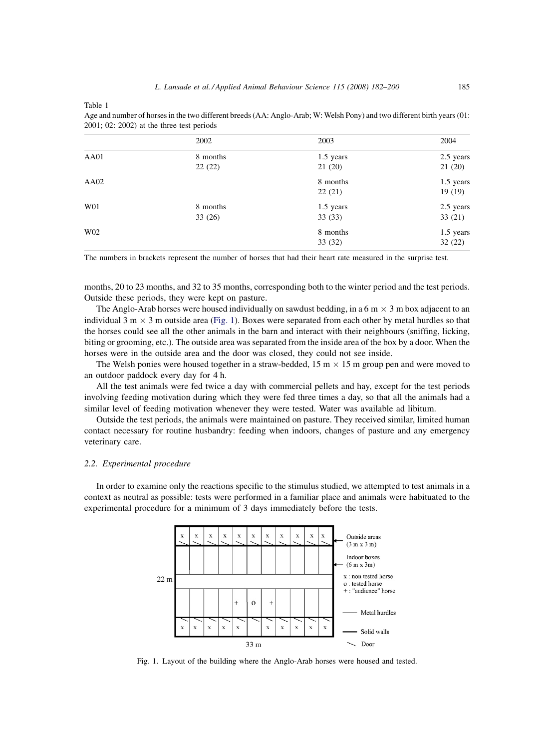|      | 2002               | 2003                | 2004                |
|------|--------------------|---------------------|---------------------|
| AA01 | 8 months<br>22(22) | 1.5 years<br>21(20) | 2.5 years<br>21(20) |
| AA02 |                    | 8 months<br>22(21)  | 1.5 years<br>19(19) |
| W01  | 8 months<br>33(26) | 1.5 years<br>33(33) | 2.5 years<br>33(21) |
| W02  |                    | 8 months<br>33(32)  | 1.5 years<br>32(22) |

Age and number of horses in the two different breeds (AA: Anglo-Arab; W: Welsh Pony) and two different birth years (01: 2001; 02: 2002) at the three test periods

The numbers in brackets represent the number of horses that had their heart rate measured in the surprise test.

months, 20 to 23 months, and 32 to 35 months, corresponding both to the winter period and the test periods. Outside these periods, they were kept on pasture.

The Anglo-Arab horses were housed individually on sawdust bedding, in a 6 m  $\times$  3 m box adjacent to an individual 3 m  $\times$  3 m outside area (Fig. 1). Boxes were separated from each other by metal hurdles so that the horses could see all the other animals in the barn and interact with their neighbours (sniffing, licking, biting or grooming, etc.). The outside area was separated from the inside area of the box by a door. When the horses were in the outside area and the door was closed, they could not see inside.

The Welsh ponies were housed together in a straw-bedded,  $15 \text{ m} \times 15 \text{ m}$  group pen and were moved to an outdoor paddock every day for 4 h.

All the test animals were fed twice a day with commercial pellets and hay, except for the test periods involving feeding motivation during which they were fed three times a day, so that all the animals had a similar level of feeding motivation whenever they were tested. Water was available ad libitum.

Outside the test periods, the animals were maintained on pasture. They received similar, limited human contact necessary for routine husbandry: feeding when indoors, changes of pasture and any emergency veterinary care.

# 2.2. Experimental procedure

<span id="page-4-0"></span>Table 1

In order to examine only the reactions specific to the stimulus studied, we attempted to test animals in a context as neutral as possible: tests were performed in a familiar place and animals were habituated to the experimental procedure for a minimum of 3 days immediately before the tests.



Fig. 1. Layout of the building where the Anglo-Arab horses were housed and tested.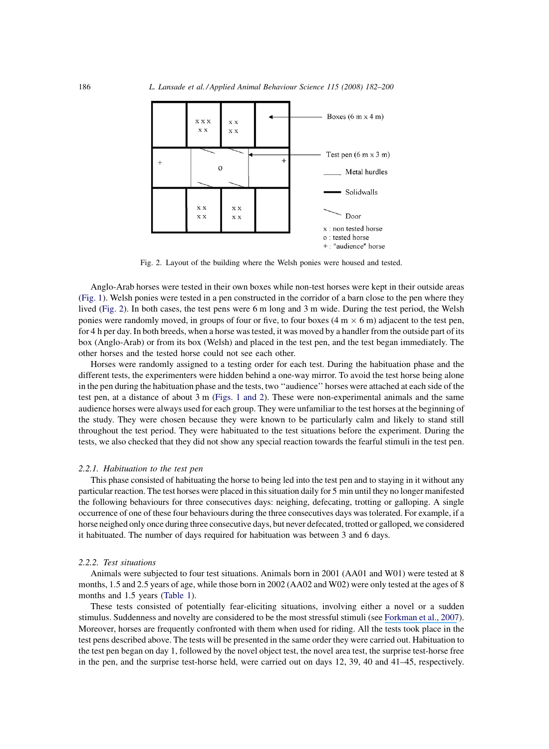

Fig. 2. Layout of the building where the Welsh ponies were housed and tested.

Anglo-Arab horses were tested in their own boxes while non-test horses were kept in their outside areas ([Fig. 1\)](#page-4-0). Welsh ponies were tested in a pen constructed in the corridor of a barn close to the pen where they lived (Fig. 2). In both cases, the test pens were 6 m long and 3 m wide. During the test period, the Welsh ponies were randomly moved, in groups of four or five, to four boxes (4 m  $\times$  6 m) adjacent to the test pen, for 4 h per day. In both breeds, when a horse was tested, it was moved by a handler from the outside part of its box (Anglo-Arab) or from its box (Welsh) and placed in the test pen, and the test began immediately. The other horses and the tested horse could not see each other.

Horses were randomly assigned to a testing order for each test. During the habituation phase and the different tests, the experimenters were hidden behind a one-way mirror. To avoid the test horse being alone in the pen during the habituation phase and the tests, two ''audience'' horses were attached at each side of the test pen, at a distance of about 3 m ([Figs. 1 and 2\)](#page-4-0). These were non-experimental animals and the same audience horses were always used for each group. They were unfamiliar to the test horses at the beginning of the study. They were chosen because they were known to be particularly calm and likely to stand still throughout the test period. They were habituated to the test situations before the experiment. During the tests, we also checked that they did not show any special reaction towards the fearful stimuli in the test pen.

#### 2.2.1. Habituation to the test pen

This phase consisted of habituating the horse to being led into the test pen and to staying in it without any particular reaction. The test horses were placed in this situation daily for 5 min until they no longer manifested the following behaviours for three consecutives days: neighing, defecating, trotting or galloping. A single occurrence of one of these four behaviours during the three consecutives days was tolerated. For example, if a horse neighed only once during three consecutive days, but never defecated, trotted or galloped, we considered it habituated. The number of days required for habituation was between 3 and 6 days.

#### 2.2.2. Test situations

Animals were subjected to four test situations. Animals born in 2001 (AA01 and W01) were tested at 8 months, 1.5 and 2.5 years of age, while those born in 2002 (AA02 and W02) were only tested at the ages of 8 months and 1.5 years [\(Table 1\)](#page-4-0).

These tests consisted of potentially fear-eliciting situations, involving either a novel or a sudden stimulus. Suddenness and novelty are considered to be the most stressful stimuli (see [Forkman et al., 2007](#page-18-0)). Moreover, horses are frequently confronted with them when used for riding. All the tests took place in the test pens described above. The tests will be presented in the same order they were carried out. Habituation to the test pen began on day 1, followed by the novel object test, the novel area test, the surprise test-horse free in the pen, and the surprise test-horse held, were carried out on days 12, 39, 40 and 41–45, respectively.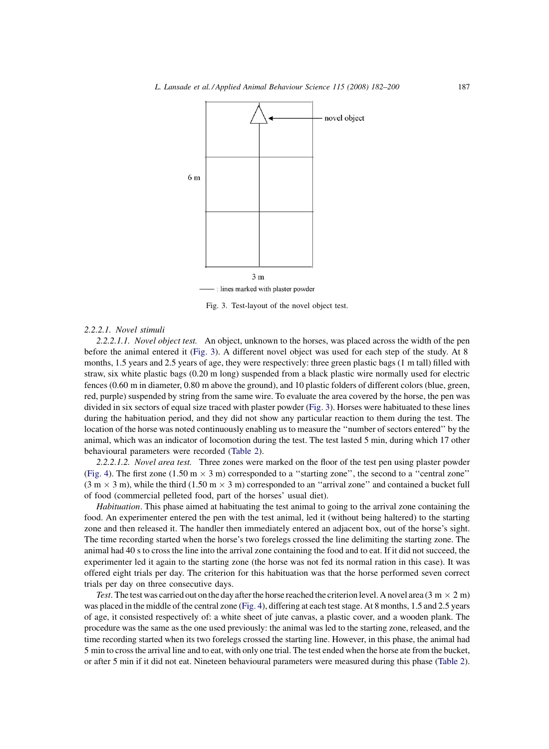

Fig. 3. Test-layout of the novel object test.

### 2.2.2.1. Novel stimuli

2.2.2.1.1. Novel object test. An object, unknown to the horses, was placed across the width of the pen before the animal entered it (Fig. 3). A different novel object was used for each step of the study. At 8 months, 1.5 years and 2.5 years of age, they were respectively: three green plastic bags (1 m tall) filled with straw, six white plastic bags (0.20 m long) suspended from a black plastic wire normally used for electric fences (0.60 m in diameter, 0.80 m above the ground), and 10 plastic folders of different colors (blue, green, red, purple) suspended by string from the same wire. To evaluate the area covered by the horse, the pen was divided in six sectors of equal size traced with plaster powder (Fig. 3). Horses were habituated to these lines during the habituation period, and they did not show any particular reaction to them during the test. The location of the horse was noted continuously enabling us to measure the ''number of sectors entered'' by the animal, which was an indicator of locomotion during the test. The test lasted 5 min, during which 17 other behavioural parameters were recorded [\(Table 2\)](#page-7-0).

2.2.2.1.2. Novel area test. Three zones were marked on the floor of the test pen using plaster powder ([Fig. 4\)](#page-7-0). The first zone (1.50 m  $\times$  3 m) corresponded to a "starting zone", the second to a "central zone"  $(3 \text{ m} \times 3 \text{ m})$ , while the third  $(1.50 \text{ m} \times 3 \text{ m})$  corresponded to an "arrival zone" and contained a bucket full of food (commercial pelleted food, part of the horses' usual diet).

Habituation. This phase aimed at habituating the test animal to going to the arrival zone containing the food. An experimenter entered the pen with the test animal, led it (without being haltered) to the starting zone and then released it. The handler then immediately entered an adjacent box, out of the horse's sight. The time recording started when the horse's two forelegs crossed the line delimiting the starting zone. The animal had 40 s to cross the line into the arrival zone containing the food and to eat. If it did not succeed, the experimenter led it again to the starting zone (the horse was not fed its normal ration in this case). It was offered eight trials per day. The criterion for this habituation was that the horse performed seven correct trials per day on three consecutive days.

Test. The test was carried out on the day after the horse reached the criterion level. A novel area (3 m  $\times$  2 m) was placed in the middle of the central zone ([Fig. 4\)](#page-7-0), differing at each test stage. At 8 months, 1.5 and 2.5 years of age, it consisted respectively of: a white sheet of jute canvas, a plastic cover, and a wooden plank. The procedure was the same as the one used previously: the animal was led to the starting zone, released, and the time recording started when its two forelegs crossed the starting line. However, in this phase, the animal had 5 min to cross the arrival line and to eat, with only one trial. The test ended when the horse ate from the bucket, or after 5 min if it did not eat. Nineteen behavioural parameters were measured during this phase ([Table 2](#page-7-0)).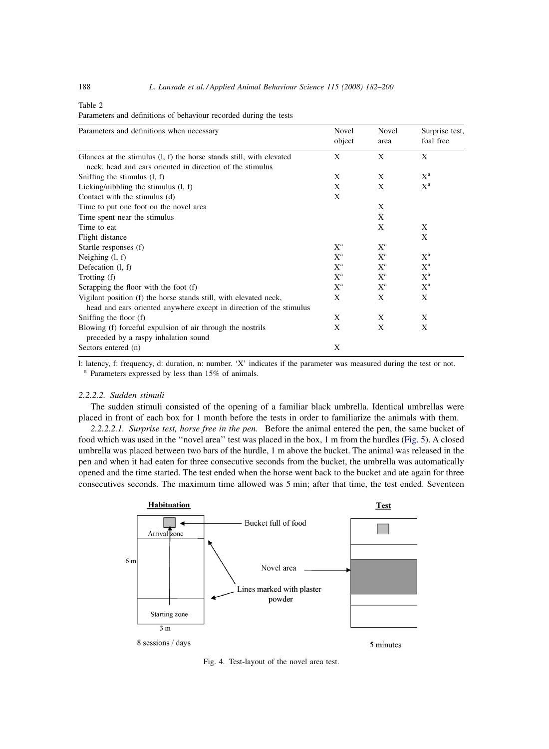Table 2

|  |  | Parameters and definitions of behaviour recorded during the tests |  |  |  |  |  |  |
|--|--|-------------------------------------------------------------------|--|--|--|--|--|--|
|--|--|-------------------------------------------------------------------|--|--|--|--|--|--|

| Parameters and definitions when necessary                                                                                                | Novel<br>object  | Novel<br>area    | Surprise test,<br>foal free |
|------------------------------------------------------------------------------------------------------------------------------------------|------------------|------------------|-----------------------------|
| Glances at the stimulus (1, f) the horse stands still, with elevated<br>neck, head and ears oriented in direction of the stimulus        | X                | X                | X                           |
| Sniffing the stimulus $(l, f)$                                                                                                           | X                | X                | $X^a$                       |
| Licking/nibbling the stimulus $(l, f)$                                                                                                   | X                | X                | $X^{\mathrm{a}}$            |
| Contact with the stimulus (d)                                                                                                            | X                |                  |                             |
| Time to put one foot on the novel area                                                                                                   |                  | X                |                             |
| Time spent near the stimulus                                                                                                             |                  | X                |                             |
| Time to eat                                                                                                                              |                  | X                | X                           |
| Flight distance                                                                                                                          |                  |                  | X                           |
| Startle responses (f)                                                                                                                    | $X^a$            | $X^a$            |                             |
| Neighing $(l, f)$                                                                                                                        | $X^{\mathrm{a}}$ | $X^{\mathrm{a}}$ | $X^a$                       |
| Defecation $(l, f)$                                                                                                                      | $X^{\mathrm{a}}$ | $X^{\mathrm{a}}$ | $X^{\mathrm{a}}$            |
| Trotting (f)                                                                                                                             | $X^a$            | $X^a$            | $X^a$                       |
| Scrapping the floor with the foot (f)                                                                                                    | $X^{\mathrm{a}}$ | $X^{\mathrm{a}}$ | $X^a$                       |
| Vigilant position (f) the horse stands still, with elevated neck,<br>head and ears oriented anywhere except in direction of the stimulus | X                | X                | X                           |
| Sniffing the floor $(f)$                                                                                                                 | X                | X                | X                           |
| Blowing (f) forceful expulsion of air through the nostrils<br>preceded by a raspy inhalation sound                                       | X                | X                | X                           |
| Sectors entered (n)                                                                                                                      | X                |                  |                             |

l: latency, f: frequency, d: duration, n: number. 'X' indicates if the parameter was measured during the test or not. <sup>a</sup> Parameters expressed by less than 15% of animals.

# 2.2.2.2. Sudden stimuli

The sudden stimuli consisted of the opening of a familiar black umbrella. Identical umbrellas were placed in front of each box for 1 month before the tests in order to familiarize the animals with them.

2.2.2.2.1. Surprise test, horse free in the pen. Before the animal entered the pen, the same bucket of food which was used in the ''novel area'' test was placed in the box, 1 m from the hurdles [\(Fig. 5\)](#page-8-0). A closed umbrella was placed between two bars of the hurdle, 1 m above the bucket. The animal was released in the pen and when it had eaten for three consecutive seconds from the bucket, the umbrella was automatically opened and the time started. The test ended when the horse went back to the bucket and ate again for three consecutives seconds. The maximum time allowed was 5 min; after that time, the test ended. Seventeen



Fig. 4. Test-layout of the novel area test.

<span id="page-7-0"></span>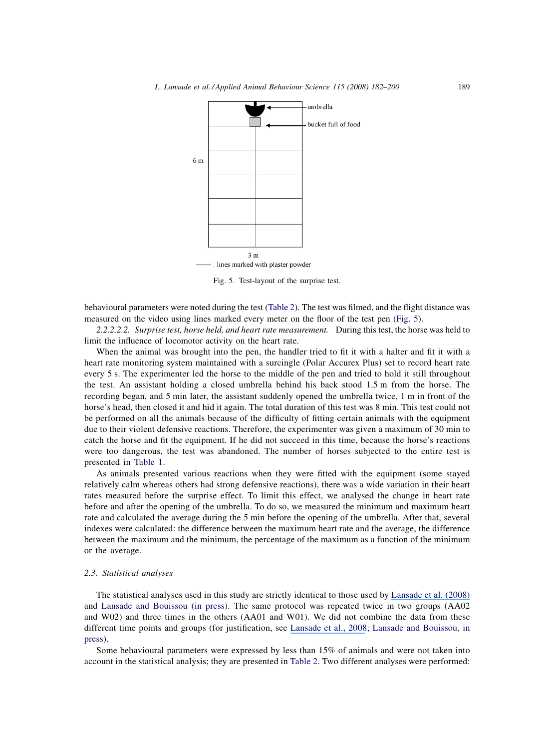<span id="page-8-0"></span>

Fig. 5. Test-layout of the surprise test.

behavioural parameters were noted during the test [\(Table 2](#page-7-0)). The test was filmed, and the flight distance was measured on the video using lines marked every meter on the floor of the test pen (Fig. 5).

2.2.2.2.2. Surprise test, horse held, and heart rate measurement. During this test, the horse was held to limit the influence of locomotor activity on the heart rate.

When the animal was brought into the pen, the handler tried to fit it with a halter and fit it with a heart rate monitoring system maintained with a surcingle (Polar Accurex Plus) set to record heart rate every 5 s. The experimenter led the horse to the middle of the pen and tried to hold it still throughout the test. An assistant holding a closed umbrella behind his back stood 1.5 m from the horse. The recording began, and 5 min later, the assistant suddenly opened the umbrella twice, 1 m in front of the horse's head, then closed it and hid it again. The total duration of this test was 8 min. This test could not be performed on all the animals because of the difficulty of fitting certain animals with the equipment due to their violent defensive reactions. Therefore, the experimenter was given a maximum of 30 min to catch the horse and fit the equipment. If he did not succeed in this time, because the horse's reactions were too dangerous, the test was abandoned. The number of horses subjected to the entire test is presented in [Table 1.](#page-4-0)

As animals presented various reactions when they were fitted with the equipment (some stayed relatively calm whereas others had strong defensive reactions), there was a wide variation in their heart rates measured before the surprise effect. To limit this effect, we analysed the change in heart rate before and after the opening of the umbrella. To do so, we measured the minimum and maximum heart rate and calculated the average during the 5 min before the opening of the umbrella. After that, several indexes were calculated: the difference between the maximum heart rate and the average, the difference between the maximum and the minimum, the percentage of the maximum as a function of the minimum or the average.

#### 2.3. Statistical analyses

The statistical analyses used in this study are strictly identical to those used by [Lansade et al. \(2008\)](#page-18-0) and [Lansade and Bouissou \(in press\).](#page-18-0) The same protocol was repeated twice in two groups (AA02 and W02) and three times in the others (AA01 and W01). We did not combine the data from these different time points and groups (for justification, see [Lansade et al., 2008; Lansade and Bouissou, in](#page-18-0) [press\)](#page-18-0).

Some behavioural parameters were expressed by less than 15% of animals and were not taken into account in the statistical analysis; they are presented in [Table 2](#page-7-0). Two different analyses were performed: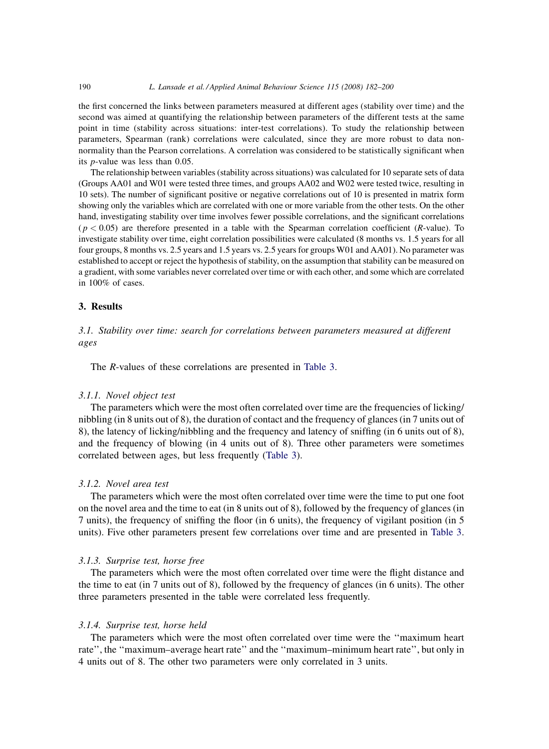the first concerned the links between parameters measured at different ages (stability over time) and the second was aimed at quantifying the relationship between parameters of the different tests at the same point in time (stability across situations: inter-test correlations). To study the relationship between parameters, Spearman (rank) correlations were calculated, since they are more robust to data nonnormality than the Pearson correlations. A correlation was considered to be statistically significant when its p-value was less than 0.05.

The relationship between variables (stability across situations) was calculated for 10 separate sets of data (Groups AA01 and W01 were tested three times, and groups AA02 and W02 were tested twice, resulting in 10 sets). The number of significant positive or negative correlations out of 10 is presented in matrix form showing only the variables which are correlated with one or more variable from the other tests. On the other hand, investigating stability over time involves fewer possible correlations, and the significant correlations  $(p < 0.05)$  are therefore presented in a table with the Spearman correlation coefficient (R-value). To investigate stability over time, eight correlation possibilities were calculated (8 months vs. 1.5 years for all four groups, 8 months vs. 2.5 years and 1.5 years vs. 2.5 years for groups W01 and AA01). No parameter was established to accept or reject the hypothesis of stability, on the assumption that stability can be measured on a gradient, with some variables never correlated over time or with each other, and some which are correlated in 100% of cases.

# 3. Results

3.1. Stability over time: search for correlations between parameters measured at different ages

The R-values of these correlations are presented in [Table 3.](#page-10-0)

# 3.1.1. Novel object test

The parameters which were the most often correlated over time are the frequencies of licking/ nibbling (in 8 units out of 8), the duration of contact and the frequency of glances (in 7 units out of 8), the latency of licking/nibbling and the frequency and latency of sniffing (in 6 units out of 8), and the frequency of blowing (in 4 units out of 8). Three other parameters were sometimes correlated between ages, but less frequently ([Table 3](#page-10-0)).

# 3.1.2. Novel area test

The parameters which were the most often correlated over time were the time to put one foot on the novel area and the time to eat (in 8 units out of 8), followed by the frequency of glances (in 7 units), the frequency of sniffing the floor (in 6 units), the frequency of vigilant position (in 5 units). Five other parameters present few correlations over time and are presented in [Table 3](#page-10-0).

# 3.1.3. Surprise test, horse free

The parameters which were the most often correlated over time were the flight distance and the time to eat (in 7 units out of 8), followed by the frequency of glances (in 6 units). The other three parameters presented in the table were correlated less frequently.

### 3.1.4. Surprise test, horse held

The parameters which were the most often correlated over time were the ''maximum heart rate'', the ''maximum–average heart rate'' and the ''maximum–minimum heart rate'', but only in 4 units out of 8. The other two parameters were only correlated in 3 units.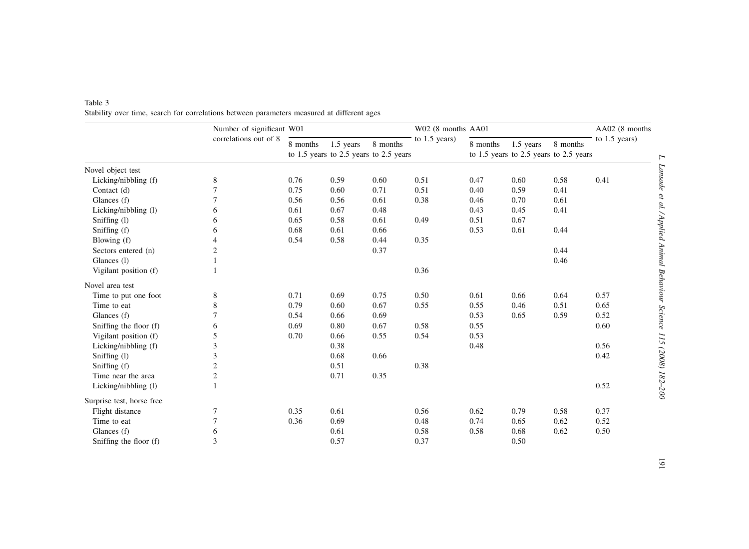|                           | Number of significant W01<br>correlations out of 8 |          |                                                     | W02 (8 months AA01 |               |          |                                                     | AA02 (8 months |                 |
|---------------------------|----------------------------------------------------|----------|-----------------------------------------------------|--------------------|---------------|----------|-----------------------------------------------------|----------------|-----------------|
|                           |                                                    | 8 months | 1.5 years<br>to 1.5 years to 2.5 years to 2.5 years | 8 months           | to 1.5 years) | 8 months | 1.5 years<br>to 1.5 years to 2.5 years to 2.5 years | 8 months       | to $1.5$ years) |
| Novel object test         |                                                    |          |                                                     |                    |               |          |                                                     |                |                 |
| Licking/nibbling (f)      | 8                                                  | 0.76     | 0.59                                                | 0.60               | 0.51          | 0.47     | 0.60                                                | 0.58           | 0.41            |
| Contact (d)               | $\overline{7}$                                     | 0.75     | 0.60                                                | 0.71               | 0.51          | 0.40     | 0.59                                                | 0.41           |                 |
| Glances (f)               | 7                                                  | 0.56     | 0.56                                                | 0.61               | 0.38          | 0.46     | 0.70                                                | 0.61           |                 |
| Licking/nibbling (1)      | 6                                                  | 0.61     | 0.67                                                | 0.48               |               | 0.43     | 0.45                                                | 0.41           |                 |
| Sniffing (1)              | 6                                                  | 0.65     | 0.58                                                | 0.61               | 0.49          | 0.51     | 0.67                                                |                |                 |
| Sniffing (f)              | 6                                                  | 0.68     | 0.61                                                | 0.66               |               | 0.53     | 0.61                                                | 0.44           |                 |
| Blowing (f)               | $\overline{4}$                                     | 0.54     | 0.58                                                | 0.44               | 0.35          |          |                                                     |                |                 |
| Sectors entered (n)       | $\overline{2}$                                     |          |                                                     | 0.37               |               |          |                                                     | 0.44           |                 |
| Glances (1)               |                                                    |          |                                                     |                    |               |          |                                                     | 0.46           |                 |
| Vigilant position (f)     | 1                                                  |          |                                                     |                    | 0.36          |          |                                                     |                |                 |
| Novel area test           |                                                    |          |                                                     |                    |               |          |                                                     |                |                 |
| Time to put one foot      | 8                                                  | 0.71     | 0.69                                                | 0.75               | 0.50          | 0.61     | 0.66                                                | 0.64           | 0.57            |
| Time to eat               | 8                                                  | 0.79     | 0.60                                                | 0.67               | 0.55          | 0.55     | 0.46                                                | 0.51           | 0.65            |
| Glances (f)               |                                                    | 0.54     | 0.66                                                | 0.69               |               | 0.53     | 0.65                                                | 0.59           | 0.52            |
| Sniffing the floor $(f)$  | 6                                                  | 0.69     | 0.80                                                | 0.67               | 0.58          | 0.55     |                                                     |                | 0.60            |
| Vigilant position (f)     | 5                                                  | 0.70     | 0.66                                                | 0.55               | 0.54          | 0.53     |                                                     |                |                 |
| Licking/nibbling (f)      | 3                                                  |          | 0.38                                                |                    |               | 0.48     |                                                     |                | 0.56            |
| Sniffing (1)              | 3                                                  |          | 0.68                                                | 0.66               |               |          |                                                     |                | 0.42            |
| Sniffing (f)              | $\overline{2}$                                     |          | 0.51                                                |                    | 0.38          |          |                                                     |                |                 |
| Time near the area        | $\overline{2}$                                     |          | 0.71                                                | 0.35               |               |          |                                                     |                |                 |
| Licking/nibbling (1)      |                                                    |          |                                                     |                    |               |          |                                                     |                | 0.52            |
| Surprise test, horse free |                                                    |          |                                                     |                    |               |          |                                                     |                |                 |
| Flight distance           | 7                                                  | 0.35     | 0.61                                                |                    | 0.56          | 0.62     | 0.79                                                | 0.58           | 0.37            |
| Time to eat               | 7                                                  | 0.36     | 0.69                                                |                    | 0.48          | 0.74     | 0.65                                                | 0.62           | 0.52            |
| Glances (f)               | 6                                                  |          | 0.61                                                |                    | 0.58          | 0.58     | 0.68                                                | 0.62           | 0.50            |
| Sniffing the floor (f)    | 3                                                  |          | 0.57                                                |                    | 0.37          |          | 0.50                                                |                |                 |

<span id="page-10-0"></span>Table 3 Stability over time, search for correlations between parameters measured at different ages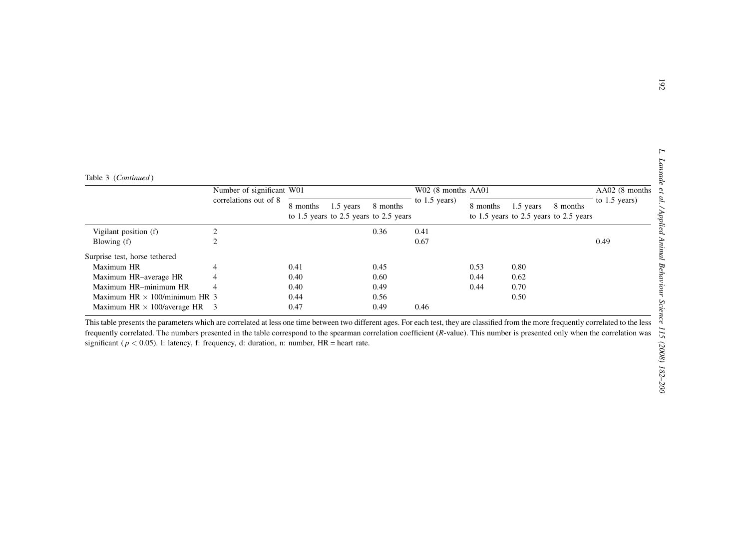|  | Table 3 ( <i>Continued</i> |  |
|--|----------------------------|--|
|--|----------------------------|--|

| AA02 (8 months<br>to 1.5 years)                                                                                                                                                                                                                                                                                                                                           |
|---------------------------------------------------------------------------------------------------------------------------------------------------------------------------------------------------------------------------------------------------------------------------------------------------------------------------------------------------------------------------|
| 8 months                                                                                                                                                                                                                                                                                                                                                                  |
| to $1.5$ years to $2.5$ years to $2.5$ years                                                                                                                                                                                                                                                                                                                              |
|                                                                                                                                                                                                                                                                                                                                                                           |
| 0.49                                                                                                                                                                                                                                                                                                                                                                      |
|                                                                                                                                                                                                                                                                                                                                                                           |
|                                                                                                                                                                                                                                                                                                                                                                           |
|                                                                                                                                                                                                                                                                                                                                                                           |
|                                                                                                                                                                                                                                                                                                                                                                           |
|                                                                                                                                                                                                                                                                                                                                                                           |
|                                                                                                                                                                                                                                                                                                                                                                           |
| This table presents the parameters which are correlated at less one time between two different ages. For each test, they are classified from the more frequently correlated to the less<br>frequently correlated. The numbers presented in the table correspond to the spearman correlation coefficient (R-value). This number is presented only when the correlation was |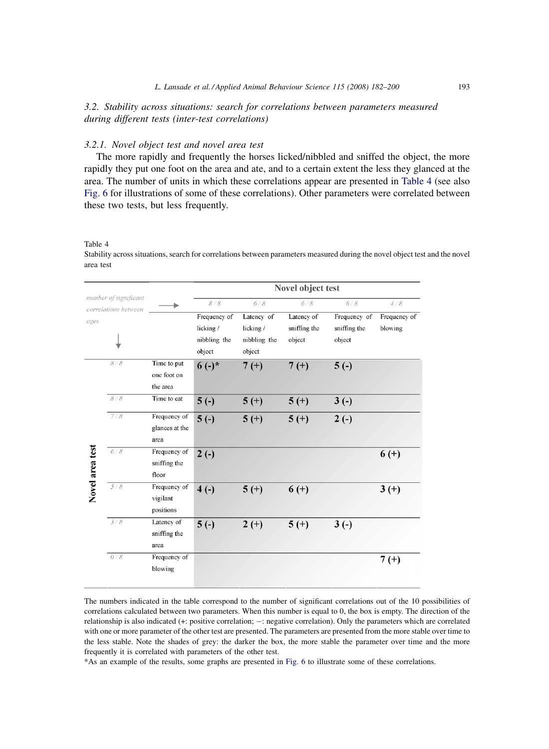# <span id="page-12-0"></span>3.2. Stability across situations: search for correlations between parameters measured during different tests (inter-test correlations)

# 3.2.1. Novel object test and novel area test

The more rapidly and frequently the horses licked/nibbled and sniffed the object, the more rapidly they put one foot on the area and ate, and to a certain extent the less they glanced at the area. The number of units in which these correlations appear are presented in Table 4 (see also [Fig. 6](#page-13-0) for illustrations of some of these correlations). Other parameters were correlated between these two tests, but less frequently.

Stability across situations, search for correlations between parameters measured during the novel object test and the novel area test

|                 |                                               |                                        |                           |                        | Novel object test          |                              |                         |
|-----------------|-----------------------------------------------|----------------------------------------|---------------------------|------------------------|----------------------------|------------------------------|-------------------------|
|                 | number of significant<br>correlations between |                                        | 8/8                       | 6/8                    | 6/8                        | 6/8                          | 4/8                     |
| ages            |                                               |                                        | Frequency of<br>licking / | Latency of<br>licking/ | Latency of<br>sniffing the | Frequency of<br>sniffing the | Frequency of<br>blowing |
|                 |                                               |                                        | nibbling the<br>object    | nibbling the<br>object | object                     | object                       |                         |
|                 | 8/8                                           | Time to put<br>one foot on<br>the area | $6(-)^{*}$                | $7(+)$                 | $7(+)$                     | $5(-)$                       |                         |
|                 | 8/8                                           | Time to eat                            | $5(-)$                    | $5(+)$                 | $5(+)$                     | $3(-)$                       |                         |
|                 | 7/8                                           | Frequency of<br>glances at the<br>area | $5(-)$                    | $5(+)$                 | $5(+)$                     | $2(-)$                       |                         |
| Novel area test | 6/8                                           | Frequency of<br>sniffing the<br>floor  | $2(-)$                    |                        |                            |                              | $6(+)$                  |
|                 | 5/8                                           | Frequency of<br>vigilant<br>positions  | $4(-)$                    | $5(+)$                 | $6 (+)$                    |                              | $3(+)$                  |
|                 | 3/8                                           | Latency of<br>sniffing the<br>area     | $5(-)$                    | $2 (+)$                | $5(+)$                     | $3(-)$                       |                         |
|                 | 0/8                                           | Frequency of<br>blowing                |                           |                        |                            |                              | $7(+)$                  |

The numbers indicated in the table correspond to the number of significant correlations out of the 10 possibilities of correlations calculated between two parameters. When this number is equal to 0, the box is empty. The direction of the relationship is also indicated  $(+)$  positive correlation;  $-$ : negative correlation). Only the parameters which are correlated with one or more parameter of the other test are presented. The parameters are presented from the more stable over time to the less stable. Note the shades of grey: the darker the box, the more stable the parameter over time and the more frequently it is correlated with parameters of the other test.

\*As an example of the results, some graphs are presented in [Fig. 6](#page-13-0) to illustrate some of these correlations.

Table 4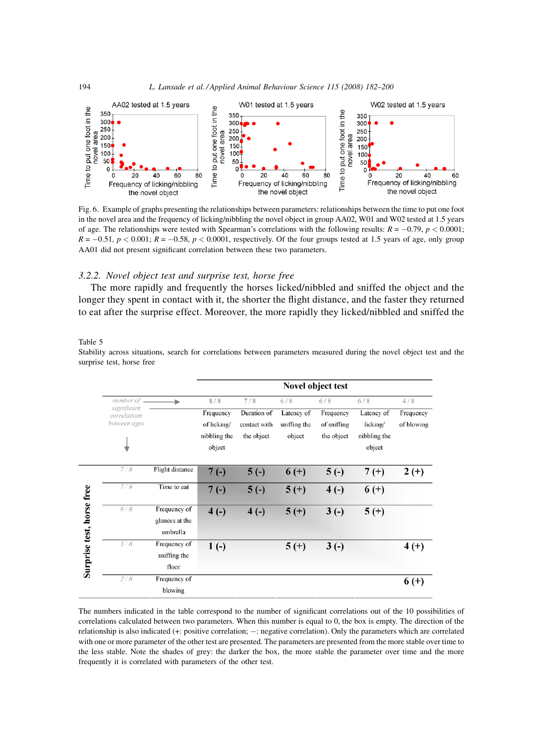<span id="page-13-0"></span>

Fig. 6. Example of graphs presenting the relationships between parameters: relationships between the time to put one foot in the novel area and the frequency of licking/nibbling the novel object in group AA02, W01 and W02 tested at 1.5 years of age. The relationships were tested with Spearman's correlations with the following results:  $R = -0.79$ ,  $p < 0.0001$ ;  $R = -0.51$ ,  $p < 0.001$ ;  $R = -0.58$ ,  $p < 0.0001$ , respectively. Of the four groups tested at 1.5 years of age, only group AA01 did not present significant correlation between these two parameters.

# 3.2.2. Novel object test and surprise test, horse free

The more rapidly and frequently the horses licked/nibbled and sniffed the object and the longer they spent in contact with it, the shorter the flight distance, and the faster they returned to eat after the surprise effect. Moreover, the more rapidly they licked/nibbled and sniffed the

#### Table 5

Stability across situations, search for correlations between parameters measured during the novel object test and the surprise test, horse free

|                           |                            |                 |              |              |              | Novel object test |              |            |
|---------------------------|----------------------------|-----------------|--------------|--------------|--------------|-------------------|--------------|------------|
|                           | number of -<br>significant |                 | 8/8          | 7/8          | 6/8          | 6/8               | 6/8          | 4/8        |
|                           | correlations               |                 | Frequency    | Duration of  | Latency of   | Frequency         | Latency of   | Frequency  |
|                           | between ages               |                 | of licking/  | contact with | sniffing the | of sniffing       | licking/     | of blowing |
|                           |                            |                 | nibbling the | the object   | object       | the object        | nibbling the |            |
|                           |                            |                 | object       |              |              |                   | object       |            |
|                           |                            |                 |              |              |              |                   |              |            |
|                           | 7/8                        | Flight distance | $7(-)$       | $5(-)$       | $6 (+)$      | $5(-)$            | $7 (+)$      | $2 (+)$    |
|                           | 7/8                        | Time to eat     | $7(-)$       | $5(-)$       | $5(+)$       | $4(-)$            | $6 (+)$      |            |
| Surprise test, horse free | 6/8                        | Frequency of    | $4(-)$       | $4(-)$       | $5(+)$       | $3(-)$            | $5(+)$       |            |
|                           |                            | glances at the  |              |              |              |                   |              |            |
|                           |                            | umbrella        |              |              |              |                   |              |            |
|                           | 3/8                        | Frequency of    | $1(-)$       |              | $5(+)$       | $3(-)$            |              | $4 (+)$    |
|                           |                            | sniffing the    |              |              |              |                   |              |            |
|                           |                            | floor           |              |              |              |                   |              |            |
|                           | 2/8                        | Frequency of    |              |              |              |                   |              | $6 (+)$    |
|                           |                            | blowing         |              |              |              |                   |              |            |

The numbers indicated in the table correspond to the number of significant correlations out of the 10 possibilities of correlations calculated between two parameters. When this number is equal to 0, the box is empty. The direction of the relationship is also indicated (+: positive correlation; -: negative correlation). Only the parameters which are correlated with one or more parameter of the other test are presented. The parameters are presented from the more stable over time to the less stable. Note the shades of grey: the darker the box, the more stable the parameter over time and the more frequently it is correlated with parameters of the other test.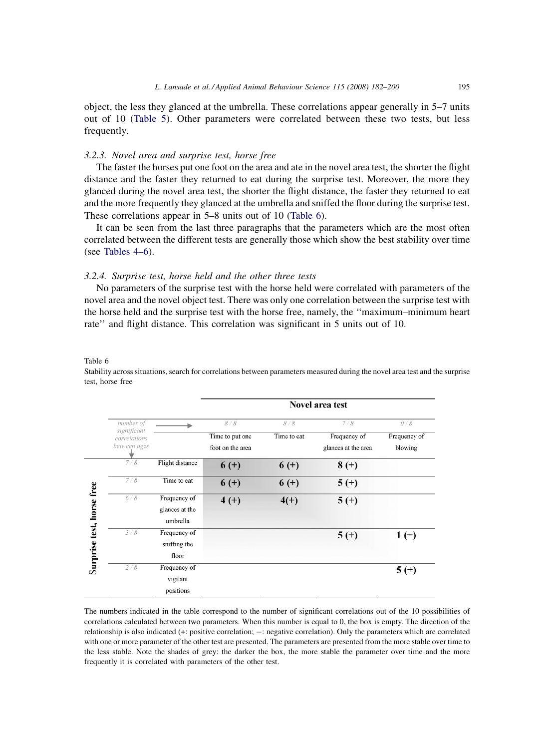object, the less they glanced at the umbrella. These correlations appear generally in 5–7 units out of 10 ([Table 5](#page-13-0)). Other parameters were correlated between these two tests, but less frequently.

# 3.2.3. Novel area and surprise test, horse free

The faster the horses put one foot on the area and ate in the novel area test, the shorter the flight distance and the faster they returned to eat during the surprise test. Moreover, the more they glanced during the novel area test, the shorter the flight distance, the faster they returned to eat and the more frequently they glanced at the umbrella and sniffed the floor during the surprise test. These correlations appear in 5–8 units out of 10 (Table 6).

It can be seen from the last three paragraphs that the parameters which are the most often correlated between the different tests are generally those which show the best stability over time (see [Tables 4–6](#page-12-0)).

# 3.2.4. Surprise test, horse held and the other three tests

No parameters of the surprise test with the horse held were correlated with parameters of the novel area and the novel object test. There was only one correlation between the surprise test with the horse held and the surprise test with the horse free, namely, the ''maximum–minimum heart rate'' and flight distance. This correlation was significant in 5 units out of 10.

#### Table 6

Stability across situations, search for correlations between parameters measured during the novel area test and the surprise test, horse free

|                           |                              |                                            |                                     |             | <b>Novel area test</b>              |                         |
|---------------------------|------------------------------|--------------------------------------------|-------------------------------------|-------------|-------------------------------------|-------------------------|
|                           | mumber of<br>significant     |                                            | 8/8                                 | 8/8         | 7/8                                 | 0/8                     |
|                           | correlations<br>between ages |                                            | Time to put one<br>foot on the area | Time to eat | Frequency of<br>glances at the area | Frequency of<br>blowing |
|                           | 7/8                          | Flight distance                            | $6 (+)$                             | $6 (+)$     | $8 (+)$                             |                         |
|                           | 7/8                          | Time to eat                                | $6 (+)$                             | $6 (+)$     | $5(+)$                              |                         |
|                           | 6/8                          | Frequency of<br>glances at the<br>umbrella | $4 (+)$                             | $4(+)$      | $5(+)$                              |                         |
| Surprise test, horse free | 3/8                          | Frequency of<br>sniffing the<br>floor      |                                     |             | $5(+)$                              | $1 (+)$                 |
|                           | 2/8                          | Frequency of<br>vigilant<br>positions      |                                     |             |                                     | $5(+)$                  |

The numbers indicated in the table correspond to the number of significant correlations out of the 10 possibilities of correlations calculated between two parameters. When this number is equal to 0, the box is empty. The direction of the relationship is also indicated  $(+)$  positive correlation;  $-$ : negative correlation). Only the parameters which are correlated with one or more parameter of the other test are presented. The parameters are presented from the more stable over time to the less stable. Note the shades of grey: the darker the box, the more stable the parameter over time and the more frequently it is correlated with parameters of the other test.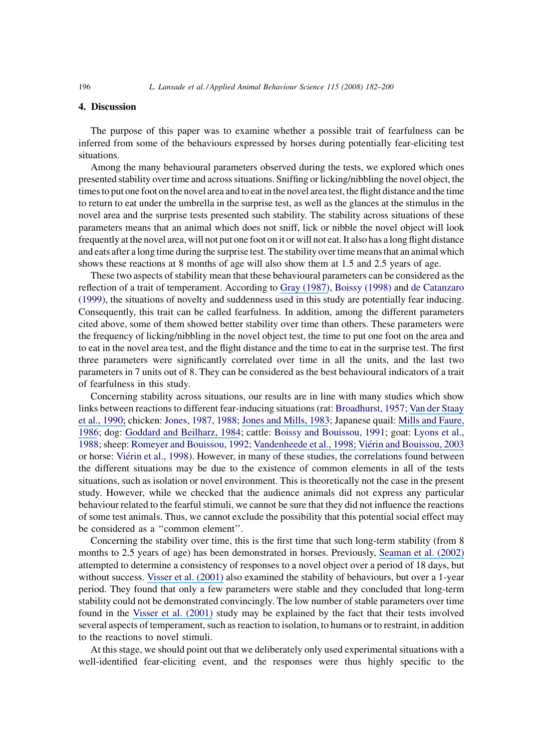# 4. Discussion

The purpose of this paper was to examine whether a possible trait of fearfulness can be inferred from some of the behaviours expressed by horses during potentially fear-eliciting test situations.

Among the many behavioural parameters observed during the tests, we explored which ones presented stability over time and across situations. Sniffing or licking/nibbling the novel object, the times to put one foot on the novel area and to eat in the novel area test, the flight distance and the time to return to eat under the umbrella in the surprise test, as well as the glances at the stimulus in the novel area and the surprise tests presented such stability. The stability across situations of these parameters means that an animal which does not sniff, lick or nibble the novel object will look frequently at the novel area, will not put one foot on it or will not eat. It also has a long flight distance and eats after a long time during the surprise test. The stability over time means that an animal which shows these reactions at 8 months of age will also show them at 1.5 and 2.5 years of age.

These two aspects of stability mean that these behavioural parameters can be considered as the reflection of a trait of temperament. According to [Gray \(1987\)](#page-18-0), [Boissy \(1998\)](#page-17-0) and [de Catanzaro](#page-18-0) [\(1999\),](#page-18-0) the situations of novelty and suddenness used in this study are potentially fear inducing. Consequently, this trait can be called fearfulness. In addition, among the different parameters cited above, some of them showed better stability over time than others. These parameters were the frequency of licking/nibbling in the novel object test, the time to put one foot on the area and to eat in the novel area test, and the flight distance and the time to eat in the surprise test. The first three parameters were significantly correlated over time in all the units, and the last two parameters in 7 units out of 8. They can be considered as the best behavioural indicators of a trait of fearfulness in this study.

Concerning stability across situations, our results are in line with many studies which show links between reactions to different fear-inducing situations (rat: [Broadhurst, 1957; Van der Staay](#page-17-0) [et al., 1990](#page-17-0)[;](https://www.researchgate.net/publication/20808557_Genetic_correlations_in_validating_emotionality?el=1_x_8&enrichId=rgreq-20281ad60fe2513228f678147f077b69-XXX&enrichSource=Y292ZXJQYWdlOzI0ODMzNjE1NTtBUzoxMTQ5NTM0NDA3MzExMzZAMTQwNDQxODQ0NDU4NQ==) chicken: [Jones, 1987, 1988; Jones and Mills, 1983](#page-18-0); Japanese quail: [Mills and Faure,](#page-18-0) [1986;](#page-18-0) dog: [Goddard and Beilharz, 1984;](#page-18-0) cattle: [Boissy and Bouissou, 1991](#page-17-0); goat: [Lyons et al.,](#page-18-0) [1988;](#page-18-0) sheep: Romeyer and Bouissou, 1992; Vandenheede et al., 1998; Viérin and Bouissou, 2003 or horse: Viérin et al., 1998). However, in many of these studies, the correlations found between the different situations may be due to the existence of common elements in all of the tests situations, such as isolation or novel environment. This is theoretically not the case in the present study. However, while we checked that the audience animals did not express any particular behaviour related to the fearful stimuli, we cannot be sure that they did not influence the reactions of some test animals. Thus, we cannot exclude the possibility that this potential social effect may be considered as a ''common element''.

Concerning the stability over time, this is the first time that such long-term stability (from 8 months to 2.5 years of age) has been demonstrated in horses. Previously, [Seaman et al. \(2002\)](#page-18-0) attempted to determine a consistency of responses to a novel object over a period of 18 days, but without success. [Visser et al. \(2001\)](#page-19-0) also examined the stability of behaviours, but over a 1-year period. They found that only a few parameters were stable and they concluded that long-term stability could not be demonstrated convincingly. The low number of stable parameters over time found in the [Visser et al. \(2001\)](#page-19-0) study may be explained by the fact that their tests involved several aspects of temperament, such as reaction to isolation, to humans or to restraint, in addition to the reactions to novel stimuli.

At this stage, we should point out that we deliberately only used experimental situations with a well-identified fear-eliciting event, and the responses were thus highly specific to the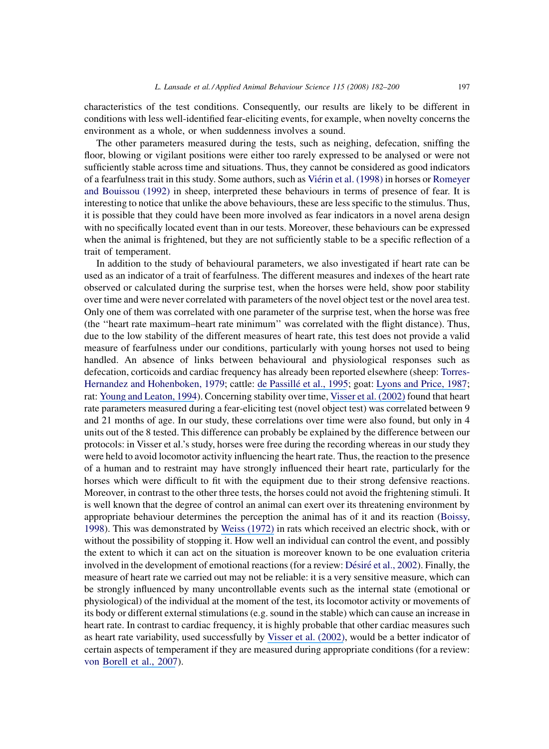characteristics of the test conditions. Consequently, our results are likely to be different in conditions with less well-identified fear-eliciting events, for example, when novelty concerns the environment as a whole, or when suddenness involves a sound.

The other parameters measured during the tests, such as neighing, defecation, sniffing the floor, blowing or vigilant positions were either too rarely expressed to be analysed or were not sufficiently stable across time and situations. Thus, they cannot be considered as good indicators of a fearfulness trait in this study. Some authors, such as Vietin et al. (1998) in horses or [Romeyer](#page-18-0) [and Bouissou \(1992\)](#page-18-0) in sheep, interpreted these behaviours in terms of presence of fear. It is interesting to notice that unlike the above behaviours, these are less specific to the stimulus. Thus, it is possible that they could have been more involved as fear indicators in a novel arena design with no specifically located event than in our tests. Moreover, these behaviours can be expressed when the animal is frightened, but they are not sufficiently stable to be a specific reflection of a trait of temperament.

In addition to the study of behavioural parameters, we also investigated if heart rate can be used as an indicator of a trait of fearfulness. The different measures and indexes of the heart rate observed or calculated during the surprise test, when the horses were held, show poor stability over time and were never correlated with parameters of the novel object test or the novel area test. Only one of them was correlated with one parameter of the surprise test, when the horse was free (the ''heart rate maximum–heart rate minimum'' was correlated with the flight distance). Thus, due to the low stability of the different measures of heart rate, this test does not provide a valid measure of fearfulness under our conditions, particularly with young horses not used to being handled. An absence of links between behavioural and physiological responses such as defecation, corticoids and cardiac frequency has already been reported elsewhere (sheep: [Torres-](#page-18-0)[Hernandez and Hohenboken, 1979;](#page-18-0) cattle: de Passillé [et al., 1995](#page-17-0); goat: [Lyons and Price, 1987](#page-18-0); rat: [Young and Leaton, 1994](#page-19-0)). Concerning stability over time, [Visser et al. \(2002\)](#page-19-0) found that heart rate parameters measured during a fear-eliciting test (novel object test) was correlated between 9 and 21 months of age. In our study, these correlations over time were also found, but only in 4 units out of the 8 tested. This difference can probably be explained by the difference between our protocols: in Visser et al.'s study, horses were free during the recording whereas in our study they were held to avoid locomotor activity influencing the heart rate. Thus, the reaction to the presence of a human and to restraint may have strongly influenced their heart rate, particularly for the horses which were difficult to fit with the equipment due to their strong defensive reactions. Moreover, in contrast to the other three tests, the horses could not avoid the frightening stimuli. It is well known that the degree of control an animal can exert over its threatening environment by appropriate behaviour determines the perception the animal has of it and its reaction [\(Boissy,](#page-17-0) [1998\)](#page-17-0). This was demonstrated by [Weiss \(1972\)](#page-19-0) in rats which received an electric shock, with or without the possibility of stopping it. How well an individual can control the event, and possibly the extent to which it can act on the situation is moreover known to be one evaluation criteria involved in the development of emotional reactions (for a review: Désiré [et al., 2002\)](#page-18-0). Finally, the measure of heart rate we carried out may not be reliable: it is a very sensitive measure, which can be strongly influenced by many uncontrollable events such as the internal state (emotional or physiological) of the individual at the moment of the test, its locomotor activity or movements of its body or different external stimulations (e.g. sound in the stable) which can cause an increase in heart rate. In contrast to cardiac frequency, it is highly probable that other cardiac measures such as heart rate variability, used successfully by [Visser et al. \(2002\)](#page-19-0), would be a better indicator of certain aspects of temperament if they are measured during appropriate conditions (for a review: [von Borell et al., 2007](#page-19-0)).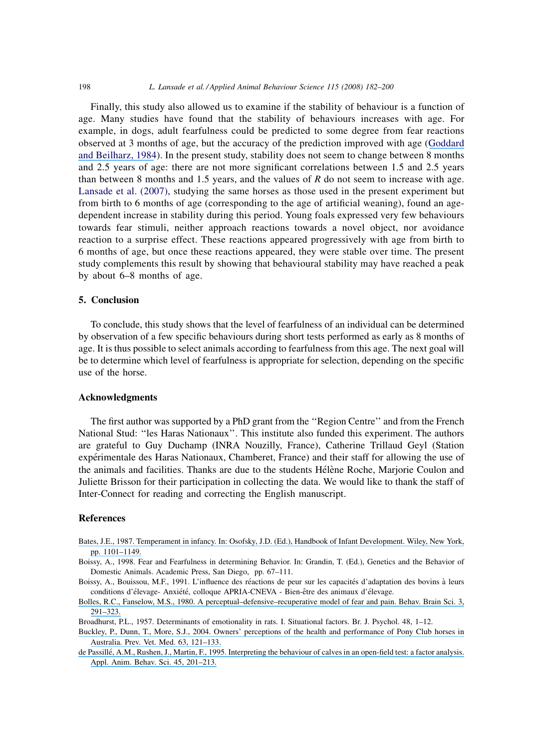<span id="page-17-0"></span>Finally, this study also allowed us to examine if the stability of behaviour is a function of age. Many studies have found that the stability of behaviours increases with age. For example, in dogs, adult fearfulness could be predicted to some degree from fear reactions observed at 3 months of age, but the accuracy of the prediction improved with age ([Goddard](#page-18-0) [and Beilharz, 1984](#page-18-0)). In the present study, stability does not seem to change between 8 months and 2.5 years of age: there are not more significant correlations between 1.5 and 2.5 years than between 8 months and 1.5 years, and the values of R do not seem to increase with age. [Lansade et al. \(2007\)](#page-18-0), studying the same horses as those used in the present experiment but from birth to 6 months of age (corresponding to the age of artificial weaning), found an agedependent increase in stability during this period. Young foals expressed very few behaviours towards fear stimuli, neither approach reactions towards a novel object, nor avoidance reaction to a surprise effect. These reactions appeared progressively with age from birth to 6 months of age, but once these reactions appeared, they were stable over time. The present study complements this result by showing that behavioural stability may have reached a peak by about 6–8 months of age.

# 5. Conclusion

To conclude, this study shows that the level of fearfulness of an individual can be determined by observation of a few specific behaviours during short tests performed as early as 8 months of age. It is thus possible to select animals according to fearfulness from this age. The next goal will be to determine which level of fearfulness is appropriate for selection, depending on the specific use of the horse.

# Acknowledgments

The first author was supported by a PhD grant from the ''Region Centre'' and from the French National Stud: ''les Haras Nationaux''. This institute also funded this experiment. The authors are grateful to Guy Duchamp (INRA Nouzilly, France), Catherine Trillaud Geyl (Station experimentale des Haras Nationaux, Chamberet, France) and their staff for allowing the use of the animals and facilities. Thanks are due to the students Hélène Roche, Marjorie Coulon and Juliette Brisson for their participation in collecting the data. We would like to thank the staff of Inter-Connect for reading and correcting the English manuscript.

# References

- [Bates, J.E., 1987. Temperament in infancy. In: Osofsky, J.D. \(Ed.\), Handbook of Infant Development. Wiley, New York,](https://www.researchgate.net/publication/232428375_Temperament_in_infancy?el=1_x_8&enrichId=rgreq-20281ad60fe2513228f678147f077b69-XXX&enrichSource=Y292ZXJQYWdlOzI0ODMzNjE1NTtBUzoxMTQ5NTM0NDA3MzExMzZAMTQwNDQxODQ0NDU4NQ==) [pp. 1101–1149.](https://www.researchgate.net/publication/232428375_Temperament_in_infancy?el=1_x_8&enrichId=rgreq-20281ad60fe2513228f678147f077b69-XXX&enrichSource=Y292ZXJQYWdlOzI0ODMzNjE1NTtBUzoxMTQ5NTM0NDA3MzExMzZAMTQwNDQxODQ0NDU4NQ==)
- Boissy, A., 1998. Fear and Fearfulness in determining Behavior. In: Grandin, T. (Ed.), Genetics and the Behavior of Domestic Animals. Academic Press, San Diego, pp. 67–111.
- Boissy, A., Bouissou, M.F., 1991. L'influence des réactions de peur sur les capacités d'adaptation des bovins à leurs conditions d'élevage- Anxiété, colloque APRIA-CNEVA - Bien-être des animaux d'élevage.
- [Bolles, R.C., Fanselow, M.S., 1980. A perceptual–defensive–recuperative model of fear and pain. Behav. Brain Sci. 3,](https://www.researchgate.net/publication/231900765_A_perceptual-recuperative_model_of_fear_and_pain?el=1_x_8&enrichId=rgreq-20281ad60fe2513228f678147f077b69-XXX&enrichSource=Y292ZXJQYWdlOzI0ODMzNjE1NTtBUzoxMTQ5NTM0NDA3MzExMzZAMTQwNDQxODQ0NDU4NQ==) [291–323.](https://www.researchgate.net/publication/231900765_A_perceptual-recuperative_model_of_fear_and_pain?el=1_x_8&enrichId=rgreq-20281ad60fe2513228f678147f077b69-XXX&enrichSource=Y292ZXJQYWdlOzI0ODMzNjE1NTtBUzoxMTQ5NTM0NDA3MzExMzZAMTQwNDQxODQ0NDU4NQ==)
- Broadhurst, P.L., 1957. Determinants of emotionality in rats. I. Situational factors. Br. J. Psychol. 48, 1–12.
- [Buckley, P., Dunn, T., More, S.J., 2004. Owners' perceptions of the health and performance of Pony Club horses in](https://www.researchgate.net/publication/8604488_Owners) [Australia. Prev. Vet. Med. 63, 121–133.](https://www.researchgate.net/publication/8604488_Owners)
- de Passillé, A.M., Rushen, J., Martin, F., 1995. Interpreting the behaviour of calves in an open-field test: a factor analysis. [Appl. Anim. Behav. Sci. 45, 201–213.](https://www.researchgate.net/publication/248335329_Interpreting_the_behaviour_of_calves_in_an_open-field_test_A_factor_analysis?el=1_x_8&enrichId=rgreq-20281ad60fe2513228f678147f077b69-XXX&enrichSource=Y292ZXJQYWdlOzI0ODMzNjE1NTtBUzoxMTQ5NTM0NDA3MzExMzZAMTQwNDQxODQ0NDU4NQ==)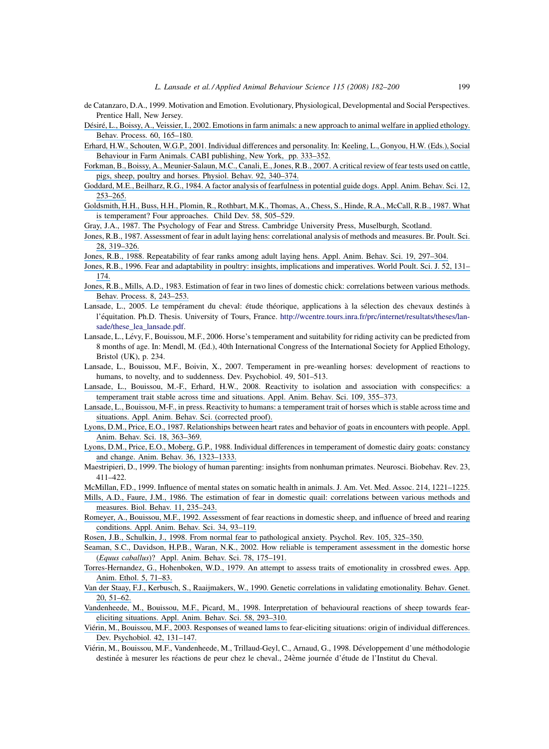- <span id="page-18-0"></span>de Catanzaro, D.A., 1999. Motivation and Emotion. Evolutionary, Physiological, Developmental and Social Perspectives. Prentice Hall, New Jersey.
- Désiré, L., Boissy, A., Veissier, I., 2002. Emotions in farm animals: a new approach to animal welfare in applied ethology. [Behav. Process. 60, 165–180.](https://www.researchgate.net/publication/11040899_Emotions_in_farm_animals_a_new_approach_to_animal_welfare_in_applied_ethology?el=1_x_8&enrichId=rgreq-20281ad60fe2513228f678147f077b69-XXX&enrichSource=Y292ZXJQYWdlOzI0ODMzNjE1NTtBUzoxMTQ5NTM0NDA3MzExMzZAMTQwNDQxODQ0NDU4NQ==)
- [Erhard, H.W., Schouten, W.G.P., 2001. Individual differences and personality. In: Keeling, L., Gonyou, H.W. \(Eds.\), Social](https://www.researchgate.net/publication/40141807_Individual_differences_and_personality?el=1_x_8&enrichId=rgreq-20281ad60fe2513228f678147f077b69-XXX&enrichSource=Y292ZXJQYWdlOzI0ODMzNjE1NTtBUzoxMTQ5NTM0NDA3MzExMzZAMTQwNDQxODQ0NDU4NQ==) [Behaviour in Farm Animals. CABI publishing, New York, pp. 333–352.](https://www.researchgate.net/publication/40141807_Individual_differences_and_personality?el=1_x_8&enrichId=rgreq-20281ad60fe2513228f678147f077b69-XXX&enrichSource=Y292ZXJQYWdlOzI0ODMzNjE1NTtBUzoxMTQ5NTM0NDA3MzExMzZAMTQwNDQxODQ0NDU4NQ==)
- [Forkman, B., Boissy, A., Meunier-Salaun, M.C., Canali, E., Jones, R.B., 2007. A critical review of fear tests used on cattle,](https://www.researchgate.net/publication/5800717_A_critical_review_of_fear_tests_used_on_cattle_pigs_sheep_poultry_and_horses?el=1_x_8&enrichId=rgreq-20281ad60fe2513228f678147f077b69-XXX&enrichSource=Y292ZXJQYWdlOzI0ODMzNjE1NTtBUzoxMTQ5NTM0NDA3MzExMzZAMTQwNDQxODQ0NDU4NQ==) [pigs, sheep, poultry and horses. Physiol. Behav. 92, 340–374.](https://www.researchgate.net/publication/5800717_A_critical_review_of_fear_tests_used_on_cattle_pigs_sheep_poultry_and_horses?el=1_x_8&enrichId=rgreq-20281ad60fe2513228f678147f077b69-XXX&enrichSource=Y292ZXJQYWdlOzI0ODMzNjE1NTtBUzoxMTQ5NTM0NDA3MzExMzZAMTQwNDQxODQ0NDU4NQ==)
- [Goddard, M.E., Beilharz, R.G., 1984. A factor analysis of fearfulness in potential guide dogs. Appl. Anim. Behav. Sci. 12,](https://www.researchgate.net/publication/248334336_Factor_analysis_of_fearfulness_in_potential_guide_dogs?el=1_x_8&enrichId=rgreq-20281ad60fe2513228f678147f077b69-XXX&enrichSource=Y292ZXJQYWdlOzI0ODMzNjE1NTtBUzoxMTQ5NTM0NDA3MzExMzZAMTQwNDQxODQ0NDU4NQ==) [253–265.](https://www.researchgate.net/publication/248334336_Factor_analysis_of_fearfulness_in_potential_guide_dogs?el=1_x_8&enrichId=rgreq-20281ad60fe2513228f678147f077b69-XXX&enrichSource=Y292ZXJQYWdlOzI0ODMzNjE1NTtBUzoxMTQ5NTM0NDA3MzExMzZAMTQwNDQxODQ0NDU4NQ==)
- [Goldsmith, H.H., Buss, H.H., Plomin, R., Rothbart, M.K., Thomas, A., Chess, S., Hinde, R.A., McCall, R.B., 1987. What](https://www.researchgate.net/publication/19331728_What_Is_Temperament_Four_Approaches?el=1_x_8&enrichId=rgreq-20281ad60fe2513228f678147f077b69-XXX&enrichSource=Y292ZXJQYWdlOzI0ODMzNjE1NTtBUzoxMTQ5NTM0NDA3MzExMzZAMTQwNDQxODQ0NDU4NQ==) [is temperament? Four approaches. Child Dev. 58, 505–529.](https://www.researchgate.net/publication/19331728_What_Is_Temperament_Four_Approaches?el=1_x_8&enrichId=rgreq-20281ad60fe2513228f678147f077b69-XXX&enrichSource=Y292ZXJQYWdlOzI0ODMzNjE1NTtBUzoxMTQ5NTM0NDA3MzExMzZAMTQwNDQxODQ0NDU4NQ==)

[Gray, J.A., 1987. The Psychology of Fear and Stress. Cambridge University Press, Muselburgh, Scotland.](https://www.researchgate.net/publication/215721407_The_Psychology_of_Fear_and_Stress?el=1_x_8&enrichId=rgreq-20281ad60fe2513228f678147f077b69-XXX&enrichSource=Y292ZXJQYWdlOzI0ODMzNjE1NTtBUzoxMTQ5NTM0NDA3MzExMzZAMTQwNDQxODQ0NDU4NQ==)

- [Jones, R.B., 1987. Assessment of fear in adult laying hens: correlational analysis of methods and measures. Br. Poult. Sci.](https://www.researchgate.net/publication/19553486_Assessment_of_fear_in_adult_laying_hens_Correlational_analysis_of_methods_and_measures?el=1_x_8&enrichId=rgreq-20281ad60fe2513228f678147f077b69-XXX&enrichSource=Y292ZXJQYWdlOzI0ODMzNjE1NTtBUzoxMTQ5NTM0NDA3MzExMzZAMTQwNDQxODQ0NDU4NQ==) [28, 319–326.](https://www.researchgate.net/publication/19553486_Assessment_of_fear_in_adult_laying_hens_Correlational_analysis_of_methods_and_measures?el=1_x_8&enrichId=rgreq-20281ad60fe2513228f678147f077b69-XXX&enrichSource=Y292ZXJQYWdlOzI0ODMzNjE1NTtBUzoxMTQ5NTM0NDA3MzExMzZAMTQwNDQxODQ0NDU4NQ==)
- [Jones, R.B., 1988. Repeatability of fear ranks among adult laying hens. Appl. Anim. Behav. Sci. 19, 297–304.](https://www.researchgate.net/publication/248334496_Repeatability_of_fear_ranks_among_adult_laying_hens?el=1_x_8&enrichId=rgreq-20281ad60fe2513228f678147f077b69-XXX&enrichSource=Y292ZXJQYWdlOzI0ODMzNjE1NTtBUzoxMTQ5NTM0NDA3MzExMzZAMTQwNDQxODQ0NDU4NQ==)
- [Jones, R.B., 1996. Fear and adaptability in poultry: insights, implications and imperatives. World Poult. Sci. J. 52, 131–](https://www.researchgate.net/publication/289461559_Fear_and_adaptability_in_poultry_Insights_implications_and_imperatives?el=1_x_8&enrichId=rgreq-20281ad60fe2513228f678147f077b69-XXX&enrichSource=Y292ZXJQYWdlOzI0ODMzNjE1NTtBUzoxMTQ5NTM0NDA3MzExMzZAMTQwNDQxODQ0NDU4NQ==) [174.](https://www.researchgate.net/publication/289461559_Fear_and_adaptability_in_poultry_Insights_implications_and_imperatives?el=1_x_8&enrichId=rgreq-20281ad60fe2513228f678147f077b69-XXX&enrichSource=Y292ZXJQYWdlOzI0ODMzNjE1NTtBUzoxMTQ5NTM0NDA3MzExMzZAMTQwNDQxODQ0NDU4NQ==)
- [Jones, R.B., Mills, A.D., 1983. Estimation of fear in two lines of domestic chick: correlations between various methods.](https://www.researchgate.net/publication/223275860_Estimation_of_fear_in_two_lines_of_the_domestic_chick_Correlations_between_various_methods?el=1_x_8&enrichId=rgreq-20281ad60fe2513228f678147f077b69-XXX&enrichSource=Y292ZXJQYWdlOzI0ODMzNjE1NTtBUzoxMTQ5NTM0NDA3MzExMzZAMTQwNDQxODQ0NDU4NQ==) [Behav. Process. 8, 243–253.](https://www.researchgate.net/publication/223275860_Estimation_of_fear_in_two_lines_of_the_domestic_chick_Correlations_between_various_methods?el=1_x_8&enrichId=rgreq-20281ad60fe2513228f678147f077b69-XXX&enrichSource=Y292ZXJQYWdlOzI0ODMzNjE1NTtBUzoxMTQ5NTM0NDA3MzExMzZAMTQwNDQxODQ0NDU4NQ==)
- Lansade, L., 2005. Le tempérament du cheval: étude théorique, applications à la sélection des chevaux destinés à l'équitation. Ph.D. Thesis. University of Tours, France. [http://wcentre.tours.inra.fr/prc/internet/resultats/theses/lan](http://wcentre.tours.inra.fr/prc/internet/resultats/theses/lansade/these_lea_lansade.pdf)[sade/these\\_lea\\_lansade.pdf](http://wcentre.tours.inra.fr/prc/internet/resultats/theses/lansade/these_lea_lansade.pdf).
- Lansade, L., Lévy, F., Bouissou, M.F., 2006. Horse's temperament and suitability for riding activity can be predicted from 8 months of age. In: Mendl, M. (Ed.), 40th International Congress of the International Society for Applied Ethology, Bristol (UK), p. 234.
- Lansade, L., Bouissou, M.F., Boivin, X., 2007. Temperament in pre-weanling horses: development of reactions to humans, to novelty, and to suddenness. Dev. Psychobiol. 49, 501–513.
- [Lansade, L., Bouissou, M.-F., Erhard, H.W., 2008. Reactivity to isolation and association with conspecifics: a](https://www.researchgate.net/publication/248336098_Reactivity_to_isolation_and_association_with_conspecifics_A_temperament_trait_stable_across_time_and_situations?el=1_x_8&enrichId=rgreq-20281ad60fe2513228f678147f077b69-XXX&enrichSource=Y292ZXJQYWdlOzI0ODMzNjE1NTtBUzoxMTQ5NTM0NDA3MzExMzZAMTQwNDQxODQ0NDU4NQ==) [temperament trait stable across time and situations. Appl. Anim. Behav. Sci. 109, 355–373.](https://www.researchgate.net/publication/248336098_Reactivity_to_isolation_and_association_with_conspecifics_A_temperament_trait_stable_across_time_and_situations?el=1_x_8&enrichId=rgreq-20281ad60fe2513228f678147f077b69-XXX&enrichSource=Y292ZXJQYWdlOzI0ODMzNjE1NTtBUzoxMTQ5NTM0NDA3MzExMzZAMTQwNDQxODQ0NDU4NQ==)
- [Lansade, L., Bouissou, M-F., in press. Reactivity to humans: a temperament trait of horses which is stable across time and](https://www.researchgate.net/publication/248336137_Reactivity_to_humans_A_temperament_trait_of_horses_which_is_stable_across_time_and_situations?el=1_x_8&enrichId=rgreq-20281ad60fe2513228f678147f077b69-XXX&enrichSource=Y292ZXJQYWdlOzI0ODMzNjE1NTtBUzoxMTQ5NTM0NDA3MzExMzZAMTQwNDQxODQ0NDU4NQ==) [situations. Appl. Anim. Behav. Sci. \(corrected proof\).](https://www.researchgate.net/publication/248336137_Reactivity_to_humans_A_temperament_trait_of_horses_which_is_stable_across_time_and_situations?el=1_x_8&enrichId=rgreq-20281ad60fe2513228f678147f077b69-XXX&enrichSource=Y292ZXJQYWdlOzI0ODMzNjE1NTtBUzoxMTQ5NTM0NDA3MzExMzZAMTQwNDQxODQ0NDU4NQ==)
- [Lyons, D.M., Price, E.O., 1987. Relationships between heart rates and behavior of goats in encounters with people. Appl.](https://www.researchgate.net/publication/240398081_Relationships_between_heart_rates_and_behavior_of_goats_in_encounters_with_people?el=1_x_8&enrichId=rgreq-20281ad60fe2513228f678147f077b69-XXX&enrichSource=Y292ZXJQYWdlOzI0ODMzNjE1NTtBUzoxMTQ5NTM0NDA3MzExMzZAMTQwNDQxODQ0NDU4NQ==) [Anim. Behav. Sci. 18, 363–369.](https://www.researchgate.net/publication/240398081_Relationships_between_heart_rates_and_behavior_of_goats_in_encounters_with_people?el=1_x_8&enrichId=rgreq-20281ad60fe2513228f678147f077b69-XXX&enrichSource=Y292ZXJQYWdlOzI0ODMzNjE1NTtBUzoxMTQ5NTM0NDA3MzExMzZAMTQwNDQxODQ0NDU4NQ==)
- [Lyons, D.M., Price, E.O., Moberg, G.P., 1988. Individual differences in temperament of domestic dairy goats: constancy](https://www.researchgate.net/publication/222971458_Individual_differences_in_temperament_of_domestic_dairy_goats_constancy_and_change?el=1_x_8&enrichId=rgreq-20281ad60fe2513228f678147f077b69-XXX&enrichSource=Y292ZXJQYWdlOzI0ODMzNjE1NTtBUzoxMTQ5NTM0NDA3MzExMzZAMTQwNDQxODQ0NDU4NQ==) [and change. Anim. Behav. 36, 1323–1333.](https://www.researchgate.net/publication/222971458_Individual_differences_in_temperament_of_domestic_dairy_goats_constancy_and_change?el=1_x_8&enrichId=rgreq-20281ad60fe2513228f678147f077b69-XXX&enrichSource=Y292ZXJQYWdlOzI0ODMzNjE1NTtBUzoxMTQ5NTM0NDA3MzExMzZAMTQwNDQxODQ0NDU4NQ==)
- Maestripieri, D., 1999. The biology of human parenting: insights from nonhuman primates. Neurosci. Biobehav. Rev. 23, 411–422.

[McMillan, F.D., 1999. Influence of mental states on somatic health in animals. J. Am. Vet. Med. Assoc. 214, 1221–1225.](https://www.researchgate.net/publication/13085045_Influence_of_mental_states_on_somatic_health_in_animals?el=1_x_8&enrichId=rgreq-20281ad60fe2513228f678147f077b69-XXX&enrichSource=Y292ZXJQYWdlOzI0ODMzNjE1NTtBUzoxMTQ5NTM0NDA3MzExMzZAMTQwNDQxODQ0NDU4NQ==)

[Mills, A.D., Faure, J.M., 1986. The estimation of fear in domestic quail: correlations between various methods and](https://www.researchgate.net/publication/285805454_The_estimation_of_fear_in_domestic_quail_Correlations_between_various_methods_and_measures?el=1_x_8&enrichId=rgreq-20281ad60fe2513228f678147f077b69-XXX&enrichSource=Y292ZXJQYWdlOzI0ODMzNjE1NTtBUzoxMTQ5NTM0NDA3MzExMzZAMTQwNDQxODQ0NDU4NQ==) [measures. Biol. Behav. 11, 235–243.](https://www.researchgate.net/publication/285805454_The_estimation_of_fear_in_domestic_quail_Correlations_between_various_methods_and_measures?el=1_x_8&enrichId=rgreq-20281ad60fe2513228f678147f077b69-XXX&enrichSource=Y292ZXJQYWdlOzI0ODMzNjE1NTtBUzoxMTQ5NTM0NDA3MzExMzZAMTQwNDQxODQ0NDU4NQ==)

[Romeyer, A., Bouissou, M.F., 1992. Assessment of fear reactions in domestic sheep, and influence of breed and rearing](https://www.researchgate.net/publication/248333830_Assessment_of_fear_reactions_in_domestic_sheep_and_influence_of_breed_and_rearing_conditions?el=1_x_8&enrichId=rgreq-20281ad60fe2513228f678147f077b69-XXX&enrichSource=Y292ZXJQYWdlOzI0ODMzNjE1NTtBUzoxMTQ5NTM0NDA3MzExMzZAMTQwNDQxODQ0NDU4NQ==) [conditions. Appl. Anim. Behav. Sci. 34, 93–119.](https://www.researchgate.net/publication/248333830_Assessment_of_fear_reactions_in_domestic_sheep_and_influence_of_breed_and_rearing_conditions?el=1_x_8&enrichId=rgreq-20281ad60fe2513228f678147f077b69-XXX&enrichSource=Y292ZXJQYWdlOzI0ODMzNjE1NTtBUzoxMTQ5NTM0NDA3MzExMzZAMTQwNDQxODQ0NDU4NQ==)

[Rosen, J.B., Schulkin, J., 1998. From normal fear to pathological anxiety. Psychol. Rev. 105, 325–350.](https://www.researchgate.net/publication/13707153_From_Normal_Fear_to_Pathological_Anxiety?el=1_x_8&enrichId=rgreq-20281ad60fe2513228f678147f077b69-XXX&enrichSource=Y292ZXJQYWdlOzI0ODMzNjE1NTtBUzoxMTQ5NTM0NDA3MzExMzZAMTQwNDQxODQ0NDU4NQ==)

[Seaman, S.C., Davidson, H.P.B., Waran, N.K., 2002. How reliable is temperament assessment in the domestic horse](https://www.researchgate.net/publication/240398289_How_reliable_is_temperament_assessment_in_the_domestic_horse_Equus_caballus?el=1_x_8&enrichId=rgreq-20281ad60fe2513228f678147f077b69-XXX&enrichSource=Y292ZXJQYWdlOzI0ODMzNjE1NTtBUzoxMTQ5NTM0NDA3MzExMzZAMTQwNDQxODQ0NDU4NQ==) (Equus caballus[\)? Appl. Anim. Behav. Sci. 78, 175–191.](https://www.researchgate.net/publication/240398289_How_reliable_is_temperament_assessment_in_the_domestic_horse_Equus_caballus?el=1_x_8&enrichId=rgreq-20281ad60fe2513228f678147f077b69-XXX&enrichSource=Y292ZXJQYWdlOzI0ODMzNjE1NTtBUzoxMTQ5NTM0NDA3MzExMzZAMTQwNDQxODQ0NDU4NQ==)

[Torres-Hernandez, G., Hohenboken, W.D., 1979. An attempt to assess traits of emotionality in crossbred ewes. App.](https://www.researchgate.net/publication/223610446_An_attempt_to_assess_traits_of_emotionality_in_crossbred_ewes?el=1_x_8&enrichId=rgreq-20281ad60fe2513228f678147f077b69-XXX&enrichSource=Y292ZXJQYWdlOzI0ODMzNjE1NTtBUzoxMTQ5NTM0NDA3MzExMzZAMTQwNDQxODQ0NDU4NQ==) [Anim. Ethol. 5, 71–83.](https://www.researchgate.net/publication/223610446_An_attempt_to_assess_traits_of_emotionality_in_crossbred_ewes?el=1_x_8&enrichId=rgreq-20281ad60fe2513228f678147f077b69-XXX&enrichSource=Y292ZXJQYWdlOzI0ODMzNjE1NTtBUzoxMTQ5NTM0NDA3MzExMzZAMTQwNDQxODQ0NDU4NQ==)

- [Van der Staay, F.J., Kerbusch, S., Raaijmakers, W., 1990. Genetic correlations in validating emotionality. Behav. Genet.](https://www.researchgate.net/publication/20808557_Genetic_correlations_in_validating_emotionality?el=1_x_8&enrichId=rgreq-20281ad60fe2513228f678147f077b69-XXX&enrichSource=Y292ZXJQYWdlOzI0ODMzNjE1NTtBUzoxMTQ5NTM0NDA3MzExMzZAMTQwNDQxODQ0NDU4NQ==) [20, 51–62.](https://www.researchgate.net/publication/20808557_Genetic_correlations_in_validating_emotionality?el=1_x_8&enrichId=rgreq-20281ad60fe2513228f678147f077b69-XXX&enrichSource=Y292ZXJQYWdlOzI0ODMzNjE1NTtBUzoxMTQ5NTM0NDA3MzExMzZAMTQwNDQxODQ0NDU4NQ==)
- [Vandenheede, M., Bouissou, M.F., Picard, M., 1998. Interpretation of behavioural reactions of sheep towards fear](https://www.researchgate.net/publication/240398233_Interpretation_of_behavioural_reactions_of_sheep_towards_fear-eliciting_situations?el=1_x_8&enrichId=rgreq-20281ad60fe2513228f678147f077b69-XXX&enrichSource=Y292ZXJQYWdlOzI0ODMzNjE1NTtBUzoxMTQ5NTM0NDA3MzExMzZAMTQwNDQxODQ0NDU4NQ==)[eliciting situations. Appl. Anim. Behav. Sci. 58, 293–310.](https://www.researchgate.net/publication/240398233_Interpretation_of_behavioural_reactions_of_sheep_towards_fear-eliciting_situations?el=1_x_8&enrichId=rgreq-20281ad60fe2513228f678147f077b69-XXX&enrichSource=Y292ZXJQYWdlOzI0ODMzNjE1NTtBUzoxMTQ5NTM0NDA3MzExMzZAMTQwNDQxODQ0NDU4NQ==)
- Viérin, M., Bouissou, M.F., 2003. Responses of weaned lams to fear-eliciting situations: origin of individual differences. [Dev. Psychobiol. 42, 131–147.](https://www.researchgate.net/publication/10928537_Responses_of_weaned_lambs_to_fear-eliciting_situations_Origin_of_individual_differences?el=1_x_8&enrichId=rgreq-20281ad60fe2513228f678147f077b69-XXX&enrichSource=Y292ZXJQYWdlOzI0ODMzNjE1NTtBUzoxMTQ5NTM0NDA3MzExMzZAMTQwNDQxODQ0NDU4NQ==)
- Viérin, M., Bouissou, M.F., Vandenheede, M., Trillaud-Geyl, C., Arnaud, G., 1998. Développement d'une méthodologie destinée à mesurer les réactions de peur chez le cheval., 24ème journée d'étude de l'Institut du Cheval.